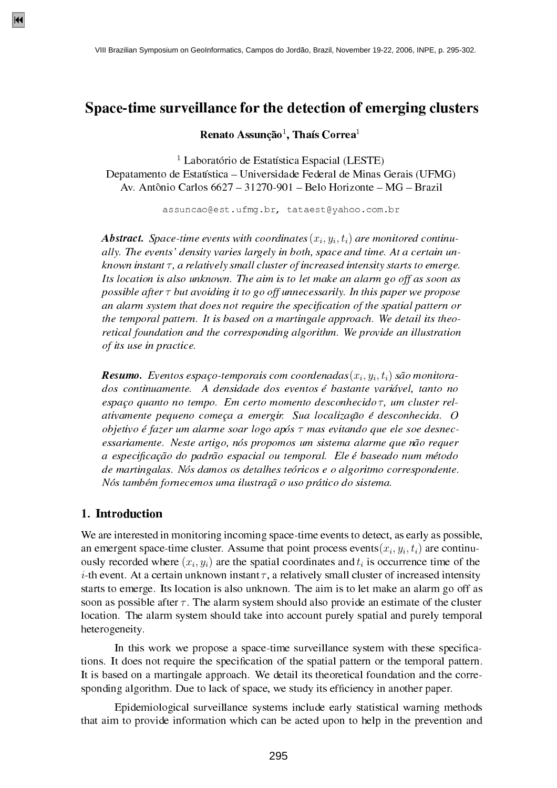# Space-time surveillance for the detection of emerging clusters

Renato Assunção $^1$ , Thaís Correa $^1$ 

 $<sup>1</sup>$  Laboratório de Estatística Espacial (LESTE)</sup> Depatamento de Estatística – Universidade Federal de Minas Gerais (UFMG) Av. Antônio Carlos  $6627 - 31270 - 901 -$ Belo Horizonte – MG – Brazil

assuncao@est.ufmg.br, tataest@yahoo.com.br

**Abstract.** Space-time events with coordinates  $(x_i, y_i, t_i)$  are monitored continually. The events' density varies largely in both, space and time. At a certain unknown instant  $\tau$ , a relatively small cluster of increased intensity starts to emerge. Its location is also unknown. The aim is to let make an alarm go off as soon as possible after  $\tau$  but avoiding it to go off unnecessarily. In this paper we propose an alarm system that does not require the specification of the spatial pattern or the temporal pattern. It is based on a martingale approach. We detail its theoretical foundation and the corresponding algorithm. We provide an illustration of its use in practice.

**Resumo.** Eventos espaço-temporais com coordenadas $(x_i, y_i, t_i)$  são monitorados continuamente. A densidade dos eventos é bastante variável, tanto no espaço quanto no tempo. Em certo momento desconhecido $\tau$ , um cluster relativamente pequeno começa a emergir. Sua localização é desconhecida. O objetivo é fazer um alarme soar logo após  $\tau$  mas evitando que ele soe desnecessariamente. Neste artigo, nós propomos um sistema alarme que não requer a especificação do padrão espacial ou temporal. Ele é baseado num método de martingalas. Nós damos os detalhes teóricos e o algoritmo correspondente. Nós também fornecemos uma ilustração uso prático do sistema.

### 1. Introduction

We are interested in monitoring incoming space-time events to detect, as early as possible, an emergent space-time cluster. Assume that point process events $(x_i, y_i, t_i)$  are continuously recorded where  $(x_i, y_i)$  are the spatial coordinates and  $t_i$  is occurrence time of the *i*-th event. At a certain unknown instant  $\tau$ , a relatively small cluster of increased intensity starts to emerge. Its location is also unknown. The aim is to let make an alarm go off as soon as possible after  $\tau$ . The alarm system should also provide an estimate of the cluster location. The alarm system should take into account purely spatial and purely temporal heterogeneity.

In this work we propose a space-time surveillance system with these specifications. It does not require the specification of the spatial pattern or the temporal pattern. It is based on a martingale approach. We detail its theoretical foundation and the corresponding algorithm. Due to lack of space, we study its efficiency in another paper.

Epidemiological surveillance systems include early statistical warning methods that aim to provide information which can be acted upon to help in the prevention and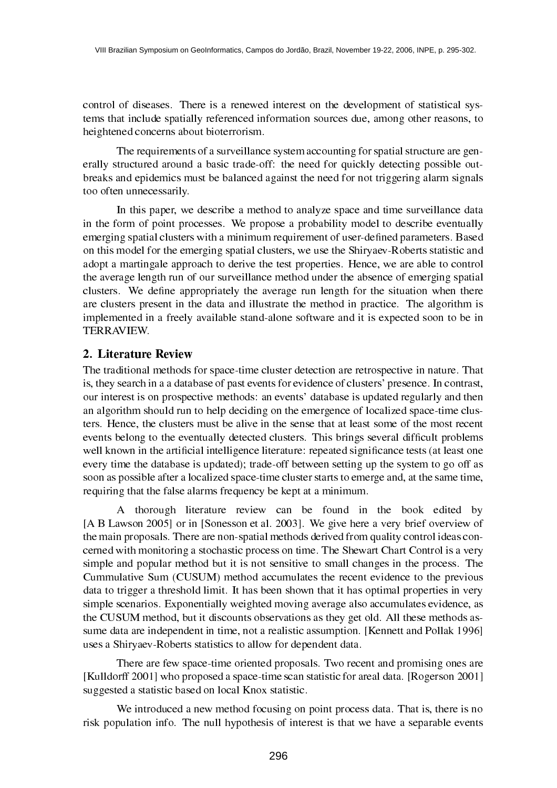control of diseases. There is a renewed interest on the development of statistical systems that include spatially referenced information sources due, among other reasons, to heightened concerns about bioterrorism.

The requirements of a surveillance system accounting for spatial structure are generally structured around a basic trade-off: the need for quickly detecting possible outbreaks and epidemics must be balanced against the need for not triggering alarm signals too often unnecessarily.

In this paper, we describe a method to analyze space and time surveillance data in the form of point processes. We propose a probability model to describe eventually emerging spatial clusters with a minimum requirement of user-defined parameters. Based on this model for the emerging spatial clusters, we use the Shiryaev-Roberts statistic and adopt a martingale approach to derive the test properties. Hence, we are able to control the average length run of our surveillance method under the absence of emerging spatial clusters. We define appropriately the average run length for the situation when there are clusters present in the data and illustrate the method in practice. The algorithm is implemented in a freely available stand-alone software and it is expected soon to be in TERRAVIEW.

# 2. Literature Review

The traditional methods for space-time cluster detection are retrospective in nature. That is, they search in a a database of past events for evidence of clusters' presence. In contrast, our interest is on prospective methods: an events' database is updated regularly and then an algorithm should run to help deciding on the emergence of localized space-time clusters. Hence, the clusters must be alive in the sense that at least some of the most recent events belong to the eventually detected clusters. This brings several difficult problems well known in the artificial intelligence literature: repeated significance tests (at least one every time the database is updated); trade-off between setting up the system to go off as soon as possible after a localized space-time cluster starts to emerge and, at the same time, requiring that the false alarms frequency be kept at a minimum.

A thorough literature review can be found in the book edited by [A B Lawson 2005] or in [Sonesson et al. 2003]. We give here a very brief overview of the main proposals. There are non-spatial methods derived from quality control ideas concerned with monitoring a stochastic process on time. The Shewart Chart Control is a very simple and popular method but it is not sensitive to small changes in the process. The Cummulative Sum (CUSUM) method accumulates the recent evidence to the previous data to trigger a threshold limit. It has been shown that it has optimal properties in very simple scenarios. Exponentially weighted moving average also accumulates evidence, as the CUSUM method, but it discounts observations as they get old. All these methods assume data are independent in time, not a realistic assumption. [Kennett and Pollak 1996] uses a Shiryaev-Roberts statistics to allow for dependent data.

There are few space-time oriented proposals. Two recent and promising ones are [Kulldorff 2001] who proposed a space-time scan statistic for areal data. [Rogerson 2001] suggested a statistic based on local Knox statistic.

We introduced a new method focusing on point process data. That is, there is no risk population info. The null hypothesis of interest is that we have a separable events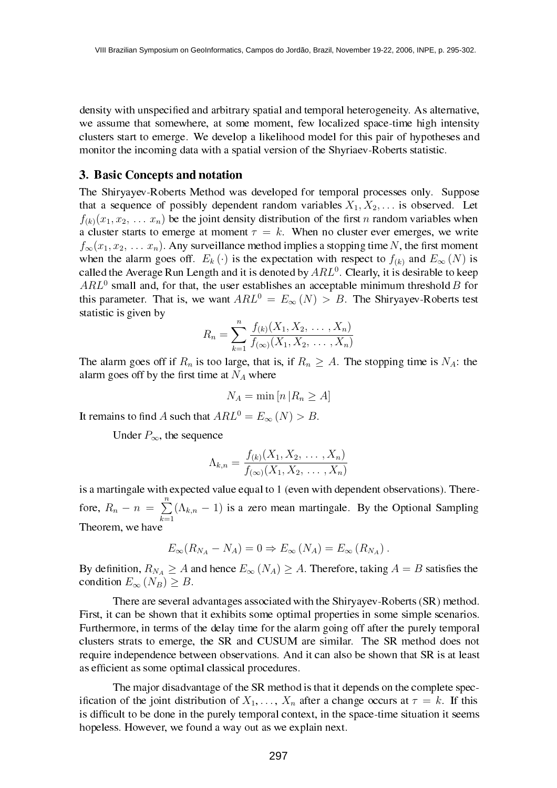density with unspecified and arbitrary spatial and temporal heterogeneity. As alternative, we assume that somewhere, at some moment, few localized space-time high intensity clusters start to emerge. We develop a likelihood model for this pair of hypotheses and monitor the incoming data with a spatial version of the Shyriaev-Roberts statistic.

### 3. Basic Concepts and notation

The Shiryayev-Roberts Method was developed for temporal processes only. Suppose that a sequence of possibly dependent random variables  $X_1, X_2, \ldots$  is observed. Let  $f_{(k)}(x_1, x_2, \ldots, x_n)$  be the joint density distribution of the first n random variables when a cluster starts to emerge at moment  $\tau = k$ . When no cluster ever emerges, we write  $f_{\infty}(x_1, x_2, \ldots, x_n)$ . Any surveillance method implies a stopping time N, the first moment when the alarm goes off.  $E_k(\cdot)$  is the expectation with respect to  $f_{(k)}$  and  $E_{\infty}(N)$  is called the Average Run Length and it is denoted by  $ARL<sup>0</sup>$ . Clearly, it is desirable to keep  $ARL<sup>0</sup>$  small and, for that, the user establishes an acceptable minimum threshold B for this parameter. That is, we want  $ARL^0 = E_{\infty}(N) > B$ . The Shiryayev-Roberts test statistic is given by

$$
R_n = \sum_{k=1}^n \frac{f_{(k)}(X_1, X_2, \dots, X_n)}{f_{(\infty)}(X_1, X_2, \dots, X_n)}
$$

The alarm goes off if  $R_n$  is too large, that is, if  $R_n \geq A$ . The stopping time is  $N_A$ : the alarm goes off by the first time at  $N_A$  where

$$
N_A = \min\left[n\left|R_n \ge A\right]\right]
$$

It remains to find A such that  $ARL^0 = E_{\infty}(N) > B$ .

Under  $P_{\infty}$ , the sequence

$$
\Lambda_{k,n} = \frac{f_{(k)}(X_1, X_2, \dots, X_n)}{f_{(\infty)}(X_1, X_2, \dots, X_n)}
$$

is a martingale with expected value equal to 1 (even with dependent observations). Therefore,  $R_n - n =$  $\frac{n}{2}$  $k=1$  $(\Lambda_{k,n} - 1)$  is a zero mean martingale. By the Optional Sampling Theorem, we have

$$
E_{\infty}(R_{N_A} - N_A) = 0 \Rightarrow E_{\infty}(N_A) = E_{\infty}(R_{N_A}).
$$

By definition,  $R_{N_A} \geq A$  and hence  $E_{\infty} (N_A) \geq A$ . Therefore, taking  $A = B$  satisfies the condition  $E_{\infty}(N_B) \geq B$ .

There are several advantages associated with the Shiryayev-Roberts (SR) method. First, it can be shown that it exhibits some optimal properties in some simple scenarios. Furthermore, in terms of the delay time for the alarm going off after the purely temporal clusters strats to emerge, the SR and CUSUM are similar. The SR method does not require independence between observations. And it can also be shown that SR is at least as efficient as some optimal classical procedures.

The major disadvantage of the SR method is that it depends on the complete specification of the joint distribution of  $X_1, \ldots, X_n$  after a change occurs at  $\tau = k$ . If this is difficult to be done in the purely temporal context, in the space-time situation it seems hopeless. However, we found a way out as we explain next.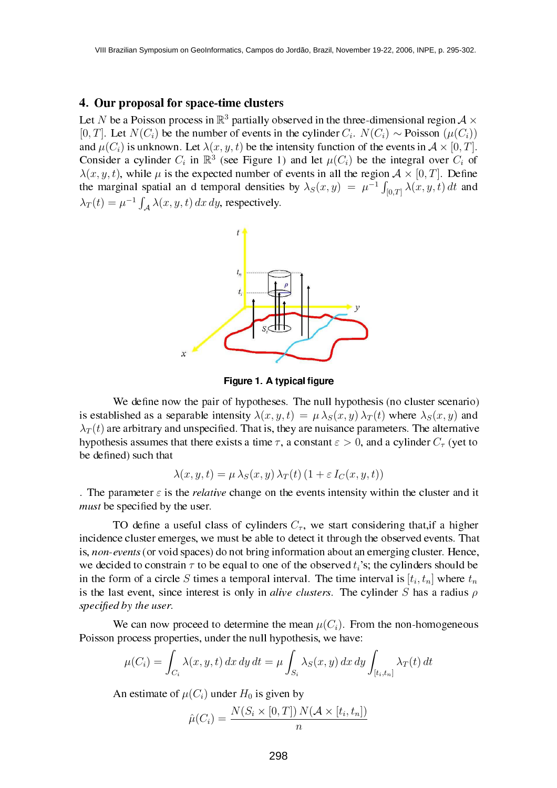#### 4. Our proposal for space-time clusters

Let N be a Poisson process in  $\mathbb{R}^3$  partially observed in the three-dimensional region  $\mathcal{A} \times$ [0, T]. Let  $N(C_i)$  be the number of events in the cylinder  $C_i$ .  $N(C_i) \sim \text{Poisson}(\mu(C_i))$ and  $\mu(C_i)$  is unknown. Let  $\lambda(x, y, t)$  be the intensity function of the events in  $\mathcal{A} \times [0, T]$ . Consider a cylinder  $C_i$  in  $\mathbb{R}^3$  (see Figure 1) and let  $\mu(C_i)$  be the integral over  $C_i$  of  $\lambda(x, y, t)$ , while  $\mu$  is the expected number of events in all the region  $\mathcal{A} \times [0, T]$ . Define the marginal spatial an d temporal densities by  $\lambda_S(x, y) = \mu^{-1}$ spatial and temporal densities by  $\lambda_S(x, y) = \mu^{-1} \int_{[0,T]} \lambda(x, y, t) dt$  and  $\lambda_T(t) = \mu^{-1}$  $\int_{\mathcal{A}} \lambda(x, y, t) dx dy$ , respectively.



Figure 1. A typical figure

We define now the pair of hypotheses. The null hypothesis (no cluster scenario) is established as a separable intensity  $\lambda(x, y, t) = \mu \lambda_S(x, y) \lambda_T(t)$  where  $\lambda_S(x, y)$  and  $\lambda_T(t)$  are arbitrary and unspecified. That is, they are nuisance parameters. The alternative hypothesis assumes that there exists a time  $\tau$ , a constant  $\varepsilon > 0$ , and a cylinder  $C_{\tau}$  (yet to be defined) such that

$$
\lambda(x, y, t) = \mu \lambda_S(x, y) \lambda_T(t) (1 + \varepsilon I_C(x, y, t))
$$

. The parameter  $\varepsilon$  is the *relative* change on the events intensity within the cluster and it must be specified by the user.

TO define a useful class of cylinders  $C_{\tau}$ , we start considering that, if a higher incidence cluster emerges, we must be able to detect it through the observed events. That is, non-events (or void spaces) do not bring information about an emerging cluster. Hence, we decided to constrain  $\tau$  to be equal to one of the observed  $t_i$ 's; the cylinders should be in the form of a circle S times a temporal interval. The time interval is  $[t_i, t_n]$  where  $t_n$ is the last event, since interest is only in alive clusters. The cylinder S has a radius  $\rho$ specified by the user.

We can now proceed to determine the mean  $\mu(C_i)$ . From the non-homogeneous Poisson process properties, under the null hypothesis, we have:  $\frac{1}{2}$ 

$$
\mu(C_i) = \int_{C_i} \lambda(x, y, t) dx dy dt = \mu \int_{S_i} \lambda_S(x, y) dx dy \int_{[t_i, t_n]} \lambda_T(t) dt
$$

An estimate of  $\mu(C_i)$  under  $H_0$  is given by

$$
\hat{\mu}(C_i) = \frac{N(S_i \times [0,T]) N(\mathcal{A} \times [t_i, t_n])}{n}
$$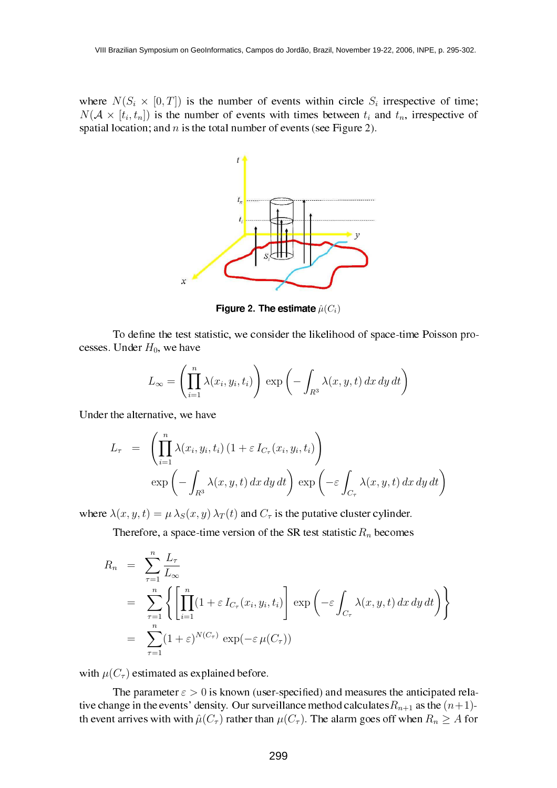where  $N(S_i \times [0,T])$  is the number of events within circle  $S_i$  irrespective of time;  $N(A \times [t_i, t_n])$  is the number of events with times between  $t_i$  and  $t_n$ , irrespective of spatial location; and  $n$  is the total number of events (see Figure 2).



Figure 2. The estimate  $\hat{\mu}(C_i)$ 

To define the test statistic, we consider the likelihood of space-time Poisson processes. Under  $H_0$ , we have

$$
L_{\infty} = \left(\prod_{i=1}^{n} \lambda(x_i, y_i, t_i)\right) \exp\left(-\int_{R^3} \lambda(x, y, t) \, dx \, dy \, dt\right)
$$

Under the alternative, we have

$$
L_{\tau} = \left( \prod_{i=1}^{n} \lambda(x_i, y_i, t_i) \left( 1 + \varepsilon I_{C_{\tau}}(x_i, y_i, t_i) \right) \right)
$$
  

$$
\exp \left( - \int_{R^3} \lambda(x, y, t) \, dx \, dy \, dt \right) \exp \left( -\varepsilon \int_{C_{\tau}} \lambda(x, y, t) \, dx \, dy \, dt \right)
$$

where  $\lambda(x, y, t) = \mu \lambda_S(x, y) \lambda_T(t)$  and  $C_\tau$  is the putative cluster cylinder.

Therefore, a space-time version of the SR test statistic  $R_n$  becomes

$$
R_n = \sum_{\tau=1}^n \frac{L_\tau}{L_\infty}
$$
  
= 
$$
\sum_{\tau=1}^n \left\{ \left[ \prod_{i=1}^n (1 + \varepsilon I_{C_\tau}(x_i, y_i, t_i) \right] \exp \left( -\varepsilon \int_{C_\tau} \lambda(x, y, t) dx dy dt \right) \right\}
$$
  
= 
$$
\sum_{\tau=1}^n (1 + \varepsilon)^{N(C_\tau)} \exp(-\varepsilon \mu(C_\tau))
$$

with  $\mu(C_{\tau})$  estimated as explained before.

The parameter  $\varepsilon > 0$  is known (user-specified) and measures the anticipated relative change in the events' density. Our surveillance method calculates  $R_{n+1}$  as the  $(n+1)$ th event arrives with with  $\hat{\mu}(C_{\tau})$  rather than  $\mu(C_{\tau})$ . The alarm goes off when  $R_n \geq A$  for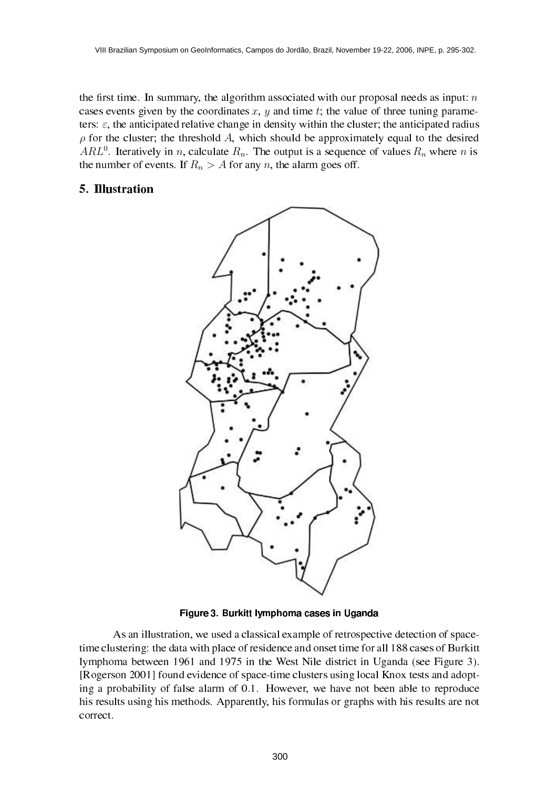the first time. In summary, the algorithm associated with our proposal needs as input:  $n$ cases events given by the coordinates x, y and time t; the value of three tuning parameters:  $\varepsilon$ , the anticipated relative change in density within the cluster; the anticipated radius  $\rho$  for the cluster; the threshold A, which should be approximately equal to the desired ARL<sup>0</sup>. Iteratively in n, calculate  $R_n$ . The output is a sequence of values  $R_n$  where n is the number of events. If  $R_n > A$  for any n, the alarm goes off.

# 5. Illustration



Figure 3. Burkitt lymphoma cases in Uganda

As an illustration, we used a classical example of retrospective detection of spacetime clustering: the data with place of residence and onset time for all 188 cases of Burkitt lymphoma between 1961 and 1975 in the West Nile district in Uganda (see Figure 3). [Rogerson 2001] found evidence of space-time clusters using local Knox tests and adopting a probability of false alarm of 0.1. However, we have not been able to reproduce his results using his methods. Apparently, his formulas or graphs with his results are not correct.